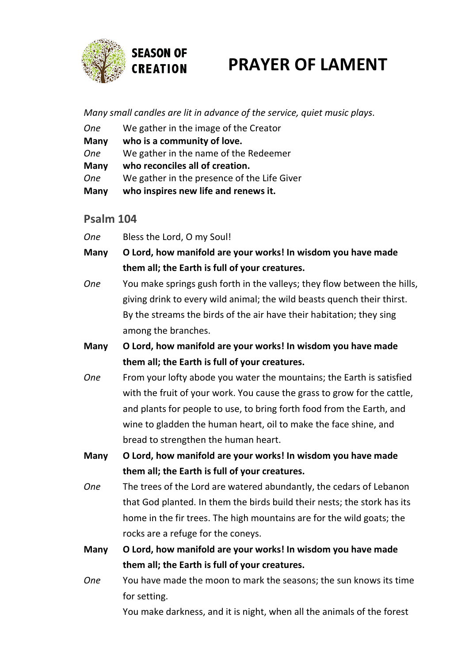

# **PRAYER OF LAMENT**

*Many small candles are lit in advance of the service, quiet music plays.*

| <b>Many</b> | who inspires new life and renews it.        |
|-------------|---------------------------------------------|
| <b>One</b>  | We gather in the presence of the Life Giver |
| <b>Many</b> | who reconciles all of creation.             |
| <b>One</b>  | We gather in the name of the Redeemer       |
| <b>Many</b> | who is a community of love.                 |
| <b>One</b>  | We gather in the image of the Creator       |

## **Psalm 104**

*One* Bless the Lord, O my Soul!

- **Many O Lord, how manifold are your works! In wisdom you have made them all; the Earth is full of your creatures.**
- *One* You make springs gush forth in the valleys; they flow between the hills, giving drink to every wild animal; the wild beasts quench their thirst. By the streams the birds of the air have their habitation; they sing among the branches.
- **Many O Lord, how manifold are your works! In wisdom you have made them all; the Earth is full of your creatures.**
- *One* From your lofty abode you water the mountains; the Earth is satisfied with the fruit of your work. You cause the grass to grow for the cattle, and plants for people to use, to bring forth food from the Earth, and wine to gladden the human heart, oil to make the face shine, and bread to strengthen the human heart.
- **Many O Lord, how manifold are your works! In wisdom you have made them all; the Earth is full of your creatures.**
- *One* The trees of the Lord are watered abundantly, the cedars of Lebanon that God planted. In them the birds build their nests; the stork has its home in the fir trees. The high mountains are for the wild goats; the rocks are a refuge for the coneys.
- **Many O Lord, how manifold are your works! In wisdom you have made them all; the Earth is full of your creatures.**
- *One* You have made the moon to mark the seasons; the sun knows its time for setting.

You make darkness, and it is night, when all the animals of the forest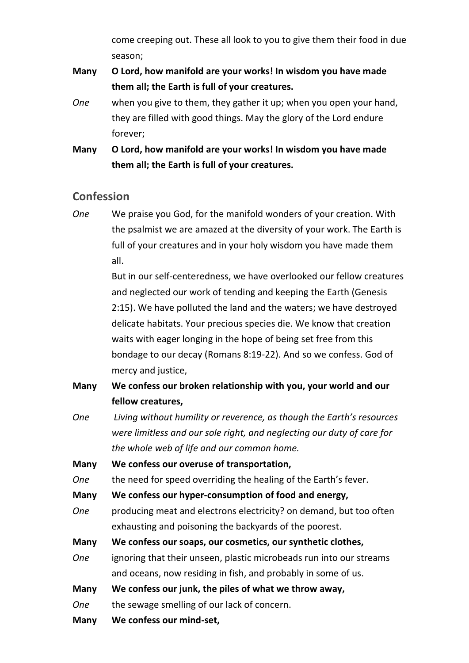come creeping out. These all look to you to give them their food in due season;

- **Many O Lord, how manifold are your works! In wisdom you have made them all; the Earth is full of your creatures.**
- *One* when you give to them, they gather it up; when you open your hand, they are filled with good things. May the glory of the Lord endure forever;
- **Many O Lord, how manifold are your works! In wisdom you have made them all; the Earth is full of your creatures.**

## **Confession**

*One* We praise you God, for the manifold wonders of your creation. With the psalmist we are amazed at the diversity of your work. The Earth is full of your creatures and in your holy wisdom you have made them all.

> But in our self-centeredness, we have overlooked our fellow creatures and neglected our work of tending and keeping the Earth (Genesis 2:15). We have polluted the land and the waters; we have destroyed delicate habitats. Your precious species die. We know that creation waits with eager longing in the hope of being set free from this bondage to our decay (Romans 8:19-22). And so we confess. God of mercy and justice,

- **Many We confess our broken relationship with you, your world and our fellow creatures,**
- *One Living without humility or reverence, as though the Earth's resources were limitless and our sole right, and neglecting our duty of care for the whole web of life and our common home.*

**Many We confess our overuse of transportation,**

*One* the need for speed overriding the healing of the Earth's fever.

- **Many We confess our hyper-consumption of food and energy,**
- *One* producing meat and electrons electricity? on demand, but too often exhausting and poisoning the backyards of the poorest.
- **Many We confess our soaps, our cosmetics, our synthetic clothes,**
- *One* ignoring that their unseen, plastic microbeads run into our streams and oceans, now residing in fish, and probably in some of us.
- **Many We confess our junk, the piles of what we throw away,**
- *One* the sewage smelling of our lack of concern.
- **Many We confess our mind-set,**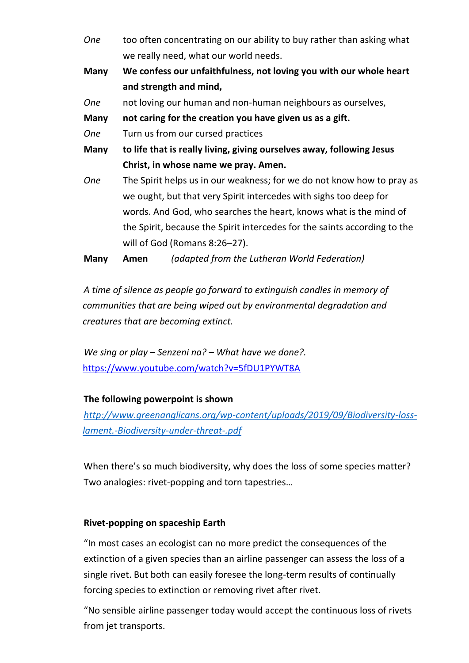- *One* too often concentrating on our ability to buy rather than asking what we really need, what our world needs.
- **Many We confess our unfaithfulness, not loving you with our whole heart and strength and mind,**
- *One* not loving our human and non-human neighbours as ourselves,

**Many not caring for the creation you have given us as a gift.**

- *One* Turn us from our cursed practices
- **Many to life that is really living, giving ourselves away, following Jesus Christ, in whose name we pray. Amen.**
- *One* The Spirit helps us in our weakness; for we do not know how to pray as we ought, but that very Spirit intercedes with sighs too deep for words. And God, who searches the heart, knows what is the mind of the Spirit, because the Spirit intercedes for the saints according to the will of God (Romans 8:26–27).

**Many Amen** *(adapted from the Lutheran World Federation)*

*A time of silence as people go forward to extinguish candles in memory of communities that are being wiped out by environmental degradation and creatures that are becoming extinct.* 

*We sing or play – Senzeni na? – What have we done?.*  <https://www.youtube.com/watch?v=5fDU1PYWT8A>

## **The following powerpoint is shown**

*[http://www.greenanglicans.org/wp-content/uploads/2019/09/Biodiversity-loss](http://www.greenanglicans.org/wp-content/uploads/2019/09/Biodiversity-loss-lament.-Biodiversity-under-threat-.pdf)[lament.-Biodiversity-under-threat-.pdf](http://www.greenanglicans.org/wp-content/uploads/2019/09/Biodiversity-loss-lament.-Biodiversity-under-threat-.pdf)*

When there's so much biodiversity, why does the loss of some species matter? Two analogies: rivet-popping and torn tapestries…

## **Rivet-popping on spaceship Earth**

"In most cases an ecologist can no more predict the consequences of the extinction of a given species than an airline passenger can assess the loss of a single rivet. But both can easily foresee the long-term results of continually forcing species to extinction or removing rivet after rivet.

"No sensible airline passenger today would accept the continuous loss of rivets from jet transports.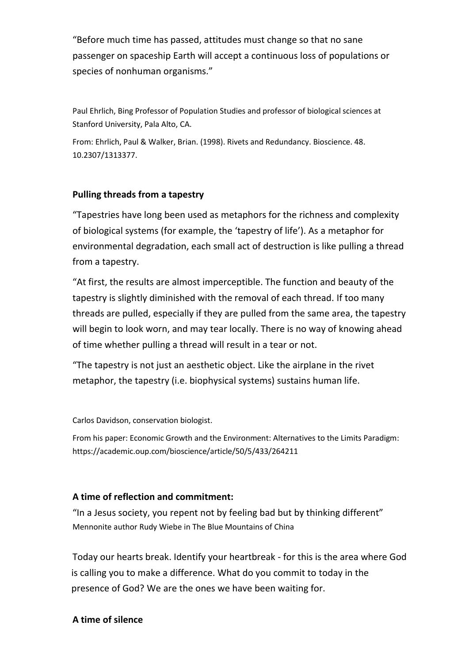"Before much time has passed, attitudes must change so that no sane passenger on spaceship Earth will accept a continuous loss of populations or species of nonhuman organisms."

Paul Ehrlich, Bing Professor of Population Studies and professor of biological sciences at Stanford University, Pala Alto, CA.

From: Ehrlich, Paul & Walker, Brian. (1998). Rivets and Redundancy. Bioscience. 48. 10.2307/1313377.

### **Pulling threads from a tapestry**

"Tapestries have long been used as metaphors for the richness and complexity of biological systems (for example, the 'tapestry of life'). As a metaphor for environmental degradation, each small act of destruction is like pulling a thread from a tapestry.

"At first, the results are almost imperceptible. The function and beauty of the tapestry is slightly diminished with the removal of each thread. If too many threads are pulled, especially if they are pulled from the same area, the tapestry will begin to look worn, and may tear locally. There is no way of knowing ahead of time whether pulling a thread will result in a tear or not.

"The tapestry is not just an aesthetic object. Like the airplane in the rivet metaphor, the tapestry (i.e. biophysical systems) sustains human life.

Carlos Davidson, conservation biologist.

From his paper: Economic Growth and the Environment: Alternatives to the Limits Paradigm: https://academic.oup.com/bioscience/article/50/5/433/264211

### **A time of reflection and commitment:**

"In a Jesus society, you repent not by feeling bad but by thinking different" Mennonite author Rudy Wiebe in The Blue Mountains of China

Today our hearts break. Identify your heartbreak - for this is the area where God is calling you to make a difference. What do you commit to today in the presence of God? We are the ones we have been waiting for.

### **A time of silence**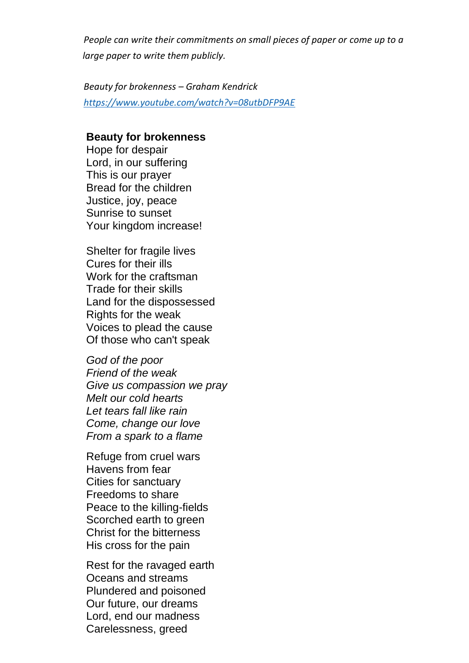*People can write their commitments on small pieces of paper or come up to a large paper to write them publicly.* 

*Beauty for brokenness – Graham Kendrick <https://www.youtube.com/watch?v=08utbDFP9AE>*

#### **Beauty for brokenness**

Hope for despair Lord, in our suffering This is our prayer Bread for the children Justice, joy, peace Sunrise to sunset Your kingdom increase!

Shelter for fragile lives Cures for their ills Work for the craftsman Trade for their skills Land for the dispossessed Rights for the weak Voices to plead the cause Of those who can't speak

*God of the poor Friend of the weak Give us compassion we pray Melt our cold hearts Let tears fall like rain Come, change our love From a spark to a flame*

Refuge from cruel wars Havens from fear Cities for sanctuary Freedoms to share Peace to the killing-fields Scorched earth to green Christ for the bitterness His cross for the pain

Rest for the ravaged earth Oceans and streams Plundered and poisoned Our future, our dreams Lord, end our madness Carelessness, greed